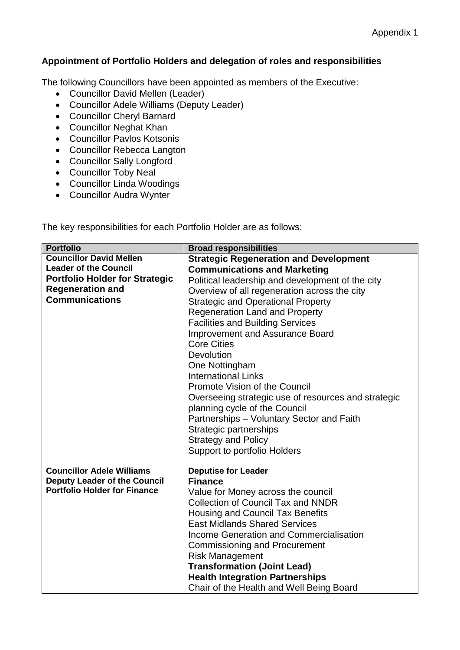## **Appointment of Portfolio Holders and delegation of roles and responsibilities**

The following Councillors have been appointed as members of the Executive:

- Councillor David Mellen (Leader)
- Councillor Adele Williams (Deputy Leader)
- Councillor Cheryl Barnard
- Councillor Neghat Khan
- Councillor Pavlos Kotsonis
- Councillor Rebecca Langton
- Councillor Sally Longford
- Councillor Toby Neal
- Councillor Linda Woodings
- Councillor Audra Wynter

The key responsibilities for each Portfolio Holder are as follows:

| <b>Portfolio</b>                      | <b>Broad responsibilities</b>                       |
|---------------------------------------|-----------------------------------------------------|
| <b>Councillor David Mellen</b>        | <b>Strategic Regeneration and Development</b>       |
| <b>Leader of the Council</b>          | <b>Communications and Marketing</b>                 |
| <b>Portfolio Holder for Strategic</b> | Political leadership and development of the city    |
| <b>Regeneration and</b>               | Overview of all regeneration across the city        |
| <b>Communications</b>                 | <b>Strategic and Operational Property</b>           |
|                                       | <b>Regeneration Land and Property</b>               |
|                                       | <b>Facilities and Building Services</b>             |
|                                       | <b>Improvement and Assurance Board</b>              |
|                                       | <b>Core Cities</b>                                  |
|                                       | <b>Devolution</b>                                   |
|                                       | One Nottingham                                      |
|                                       | <b>International Links</b>                          |
|                                       | Promote Vision of the Council                       |
|                                       | Overseeing strategic use of resources and strategic |
|                                       | planning cycle of the Council                       |
|                                       | Partnerships - Voluntary Sector and Faith           |
|                                       | Strategic partnerships                              |
|                                       | <b>Strategy and Policy</b>                          |
|                                       | Support to portfolio Holders                        |
| <b>Councillor Adele Williams</b>      | <b>Deputise for Leader</b>                          |
| <b>Deputy Leader of the Council</b>   | <b>Finance</b>                                      |
| <b>Portfolio Holder for Finance</b>   | Value for Money across the council                  |
|                                       | <b>Collection of Council Tax and NNDR</b>           |
|                                       | Housing and Council Tax Benefits                    |
|                                       | <b>East Midlands Shared Services</b>                |
|                                       | <b>Income Generation and Commercialisation</b>      |
|                                       | <b>Commissioning and Procurement</b>                |
|                                       | <b>Risk Management</b>                              |
|                                       | <b>Transformation (Joint Lead)</b>                  |
|                                       | <b>Health Integration Partnerships</b>              |
|                                       | Chair of the Health and Well Being Board            |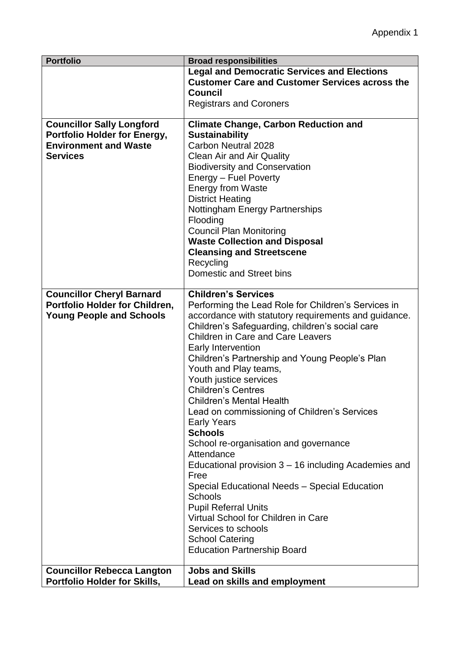| <b>Portfolio</b>                                                                                                           | <b>Broad responsibilities</b>                                                                                                                                                                                                                                                                                                                                                                                                                                                                                                                                                                                                                                                                                                                                                                                                                                               |
|----------------------------------------------------------------------------------------------------------------------------|-----------------------------------------------------------------------------------------------------------------------------------------------------------------------------------------------------------------------------------------------------------------------------------------------------------------------------------------------------------------------------------------------------------------------------------------------------------------------------------------------------------------------------------------------------------------------------------------------------------------------------------------------------------------------------------------------------------------------------------------------------------------------------------------------------------------------------------------------------------------------------|
|                                                                                                                            | <b>Legal and Democratic Services and Elections</b><br><b>Customer Care and Customer Services across the</b><br><b>Council</b><br><b>Registrars and Coroners</b>                                                                                                                                                                                                                                                                                                                                                                                                                                                                                                                                                                                                                                                                                                             |
| <b>Councillor Sally Longford</b><br><b>Portfolio Holder for Energy,</b><br><b>Environment and Waste</b><br><b>Services</b> | <b>Climate Change, Carbon Reduction and</b><br><b>Sustainability</b><br>Carbon Neutral 2028<br><b>Clean Air and Air Quality</b><br><b>Biodiversity and Conservation</b><br>Energy - Fuel Poverty<br><b>Energy from Waste</b><br><b>District Heating</b><br><b>Nottingham Energy Partnerships</b><br>Flooding<br><b>Council Plan Monitoring</b><br><b>Waste Collection and Disposal</b><br><b>Cleansing and Streetscene</b><br>Recycling<br>Domestic and Street bins                                                                                                                                                                                                                                                                                                                                                                                                         |
| <b>Councillor Cheryl Barnard</b><br>Portfolio Holder for Children,<br><b>Young People and Schools</b>                      | <b>Children's Services</b><br>Performing the Lead Role for Children's Services in<br>accordance with statutory requirements and guidance.<br>Children's Safeguarding, children's social care<br><b>Children in Care and Care Leavers</b><br>Early Intervention<br>Children's Partnership and Young People's Plan<br>Youth and Play teams,<br>Youth justice services<br><b>Children's Centres</b><br>Children's Mental Health<br>Lead on commissioning of Children's Services<br><b>Early Years</b><br><b>Schools</b><br>School re-organisation and governance<br>Attendance<br>Educational provision 3 – 16 including Academies and<br>Free<br>Special Educational Needs - Special Education<br><b>Schools</b><br><b>Pupil Referral Units</b><br>Virtual School for Children in Care<br>Services to schools<br><b>School Catering</b><br><b>Education Partnership Board</b> |
| <b>Councillor Rebecca Langton</b><br>Portfolio Holder for Skills,                                                          | <b>Jobs and Skills</b><br>Lead on skills and employment                                                                                                                                                                                                                                                                                                                                                                                                                                                                                                                                                                                                                                                                                                                                                                                                                     |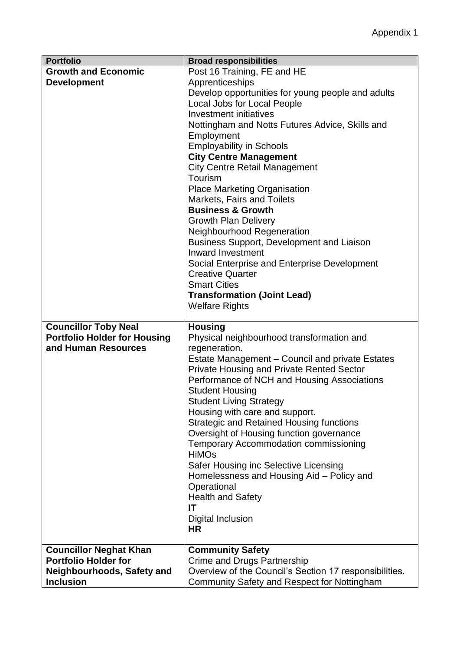| <b>Portfolio</b>                    | <b>Broad responsibilities</b>                          |
|-------------------------------------|--------------------------------------------------------|
| <b>Growth and Economic</b>          | Post 16 Training, FE and HE                            |
| <b>Development</b>                  | Apprenticeships                                        |
|                                     | Develop opportunities for young people and adults      |
|                                     | Local Jobs for Local People                            |
|                                     | Investment initiatives                                 |
|                                     | Nottingham and Notts Futures Advice, Skills and        |
|                                     | Employment                                             |
|                                     | <b>Employability in Schools</b>                        |
|                                     | <b>City Centre Management</b>                          |
|                                     |                                                        |
|                                     | <b>City Centre Retail Management</b>                   |
|                                     | Tourism                                                |
|                                     | <b>Place Marketing Organisation</b>                    |
|                                     | Markets, Fairs and Toilets                             |
|                                     | <b>Business &amp; Growth</b>                           |
|                                     | <b>Growth Plan Delivery</b>                            |
|                                     | Neighbourhood Regeneration                             |
|                                     | <b>Business Support, Development and Liaison</b>       |
|                                     | <b>Inward Investment</b>                               |
|                                     | Social Enterprise and Enterprise Development           |
|                                     | <b>Creative Quarter</b>                                |
|                                     | <b>Smart Cities</b>                                    |
|                                     | <b>Transformation (Joint Lead)</b>                     |
|                                     | <b>Welfare Rights</b>                                  |
|                                     |                                                        |
| <b>Councillor Toby Neal</b>         | <b>Housing</b>                                         |
| <b>Portfolio Holder for Housing</b> | Physical neighbourhood transformation and              |
| and Human Resources                 | regeneration.                                          |
|                                     | Estate Management - Council and private Estates        |
|                                     | <b>Private Housing and Private Rented Sector</b>       |
|                                     |                                                        |
|                                     | Performance of NCH and Housing Associations            |
|                                     | <b>Student Housing</b>                                 |
|                                     | <b>Student Living Strategy</b>                         |
|                                     | Housing with care and support.                         |
|                                     | <b>Strategic and Retained Housing functions</b>        |
|                                     | Oversight of Housing function governance               |
|                                     | <b>Temporary Accommodation commissioning</b>           |
|                                     | <b>HiMOs</b>                                           |
|                                     | Safer Housing inc Selective Licensing                  |
|                                     | Homelessness and Housing Aid - Policy and              |
|                                     | Operational                                            |
|                                     | <b>Health and Safety</b>                               |
|                                     | IT                                                     |
|                                     | Digital Inclusion                                      |
|                                     | ΗR                                                     |
|                                     |                                                        |
| <b>Councillor Neghat Khan</b>       | <b>Community Safety</b>                                |
| <b>Portfolio Holder for</b>         | Crime and Drugs Partnership                            |
| Neighbourhoods, Safety and          | Overview of the Council's Section 17 responsibilities. |
| <b>Inclusion</b>                    | Community Safety and Respect for Nottingham            |
|                                     |                                                        |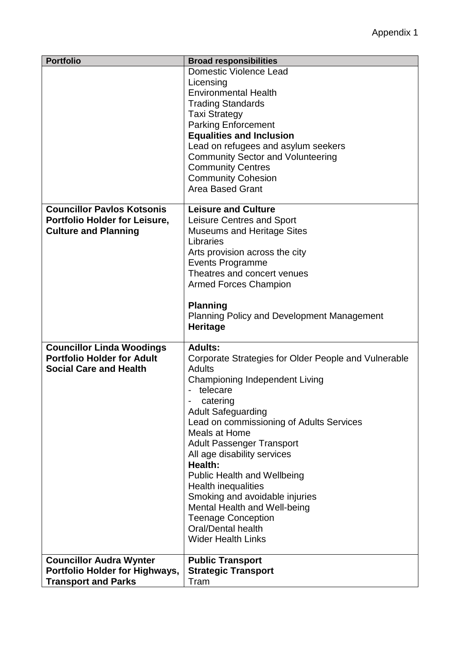| <b>Portfolio</b>                  | <b>Broad responsibilities</b>                        |
|-----------------------------------|------------------------------------------------------|
|                                   | <b>Domestic Violence Lead</b>                        |
|                                   | Licensing                                            |
|                                   | <b>Environmental Health</b>                          |
|                                   | <b>Trading Standards</b>                             |
|                                   | <b>Taxi Strategy</b>                                 |
|                                   | <b>Parking Enforcement</b>                           |
|                                   | <b>Equalities and Inclusion</b>                      |
|                                   | Lead on refugees and asylum seekers                  |
|                                   | <b>Community Sector and Volunteering</b>             |
|                                   | <b>Community Centres</b>                             |
|                                   | <b>Community Cohesion</b>                            |
|                                   | <b>Area Based Grant</b>                              |
|                                   |                                                      |
| <b>Councillor Pavlos Kotsonis</b> | <b>Leisure and Culture</b>                           |
| Portfolio Holder for Leisure,     | Leisure Centres and Sport                            |
| <b>Culture and Planning</b>       | <b>Museums and Heritage Sites</b>                    |
|                                   | Libraries                                            |
|                                   | Arts provision across the city                       |
|                                   | <b>Events Programme</b>                              |
|                                   | Theatres and concert venues                          |
|                                   |                                                      |
|                                   | <b>Armed Forces Champion</b>                         |
|                                   | <b>Planning</b>                                      |
|                                   |                                                      |
|                                   | <b>Planning Policy and Development Management</b>    |
|                                   | Heritage                                             |
| <b>Councillor Linda Woodings</b>  | <b>Adults:</b>                                       |
| <b>Portfolio Holder for Adult</b> | Corporate Strategies for Older People and Vulnerable |
| <b>Social Care and Health</b>     | Adults                                               |
|                                   | <b>Championing Independent Living</b>                |
|                                   | telecare                                             |
|                                   | catering                                             |
|                                   | <b>Adult Safeguarding</b>                            |
|                                   | Lead on commissioning of Adults Services             |
|                                   | Meals at Home                                        |
|                                   |                                                      |
|                                   | <b>Adult Passenger Transport</b>                     |
|                                   | All age disability services                          |
|                                   | <b>Health:</b>                                       |
|                                   | <b>Public Health and Wellbeing</b>                   |
|                                   | Health inequalities                                  |
|                                   | Smoking and avoidable injuries                       |
|                                   | Mental Health and Well-being                         |
|                                   | <b>Teenage Conception</b>                            |
|                                   | Oral/Dental health                                   |
|                                   | <b>Wider Health Links</b>                            |
| <b>Councillor Audra Wynter</b>    | <b>Public Transport</b>                              |
| Portfolio Holder for Highways,    | <b>Strategic Transport</b>                           |
| <b>Transport and Parks</b>        | Tram                                                 |
|                                   |                                                      |